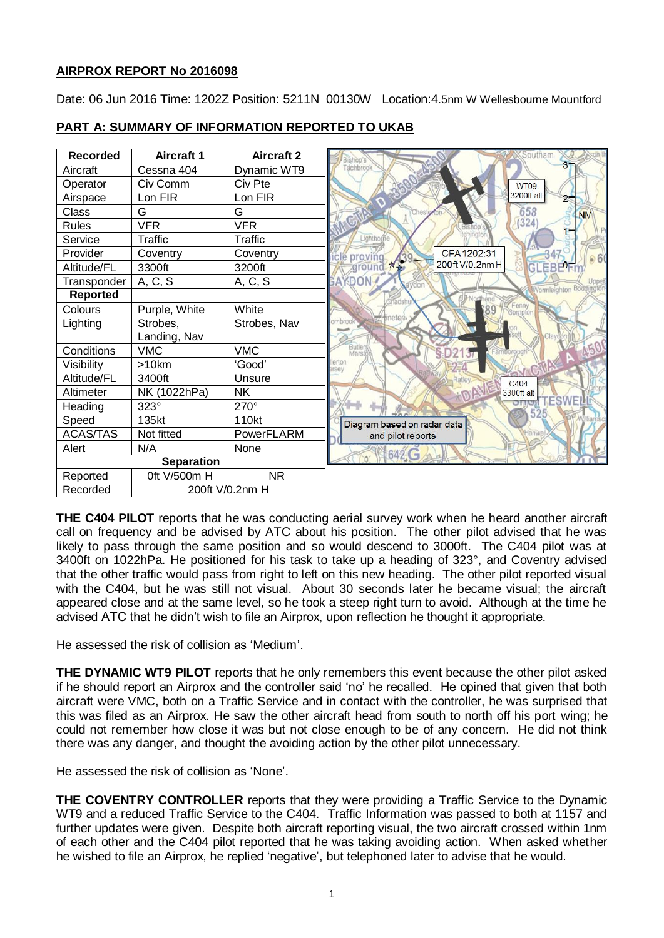# **AIRPROX REPORT No 2016098**

Date: 06 Jun 2016 Time: 1202Z Position: 5211N 00130W Location:4.5nm W Wellesbourne Mountford



# **PART A: SUMMARY OF INFORMATION REPORTED TO UKAB**

**THE C404 PILOT** reports that he was conducting aerial survey work when he heard another aircraft call on frequency and be advised by ATC about his position. The other pilot advised that he was likely to pass through the same position and so would descend to 3000ft. The C404 pilot was at 3400ft on 1022hPa. He positioned for his task to take up a heading of 323°, and Coventry advised that the other traffic would pass from right to left on this new heading. The other pilot reported visual with the C404, but he was still not visual. About 30 seconds later he became visual; the aircraft appeared close and at the same level, so he took a steep right turn to avoid. Although at the time he advised ATC that he didn't wish to file an Airprox, upon reflection he thought it appropriate.

He assessed the risk of collision as 'Medium'.

**THE DYNAMIC WT9 PILOT** reports that he only remembers this event because the other pilot asked if he should report an Airprox and the controller said 'no' he recalled. He opined that given that both aircraft were VMC, both on a Traffic Service and in contact with the controller, he was surprised that this was filed as an Airprox. He saw the other aircraft head from south to north off his port wing; he could not remember how close it was but not close enough to be of any concern. He did not think there was any danger, and thought the avoiding action by the other pilot unnecessary.

He assessed the risk of collision as 'None'.

**THE COVENTRY CONTROLLER** reports that they were providing a Traffic Service to the Dynamic WT9 and a reduced Traffic Service to the C404. Traffic Information was passed to both at 1157 and further updates were given. Despite both aircraft reporting visual, the two aircraft crossed within 1nm of each other and the C404 pilot reported that he was taking avoiding action. When asked whether he wished to file an Airprox, he replied 'negative', but telephoned later to advise that he would.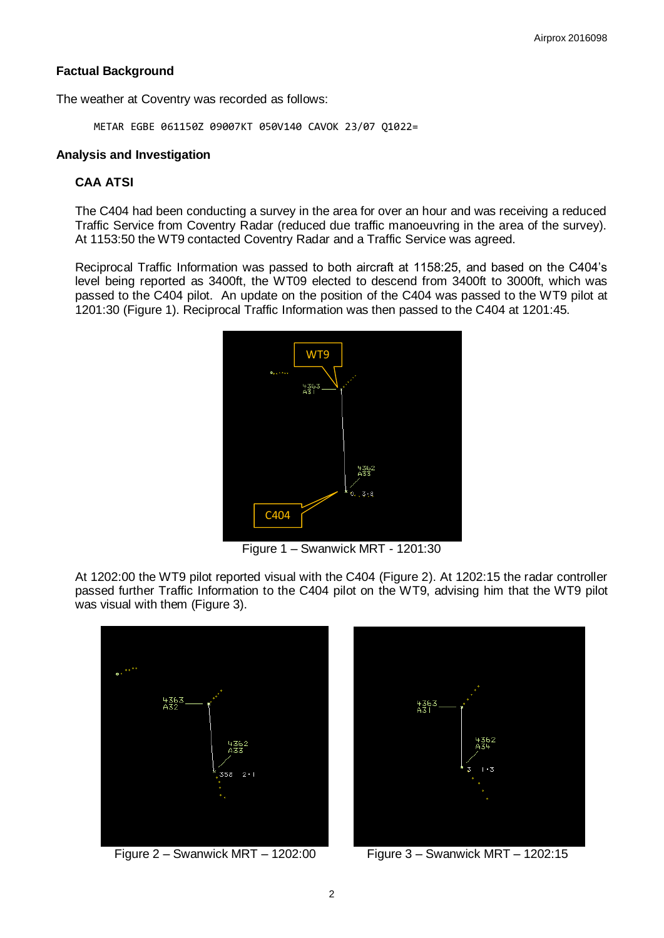# **Factual Background**

The weather at Coventry was recorded as follows:

METAR EGBE 061150Z 09007KT 050V140 CAVOK 23/07 Q1022=

#### **Analysis and Investigation**

## **CAA ATSI**

The C404 had been conducting a survey in the area for over an hour and was receiving a reduced Traffic Service from Coventry Radar (reduced due traffic manoeuvring in the area of the survey). At 1153:50 the WT9 contacted Coventry Radar and a Traffic Service was agreed.

Reciprocal Traffic Information was passed to both aircraft at 1158:25, and based on the C404's level being reported as 3400ft, the WT09 elected to descend from 3400ft to 3000ft, which was passed to the C404 pilot. An update on the position of the C404 was passed to the WT9 pilot at 1201:30 (Figure 1). Reciprocal Traffic Information was then passed to the C404 at 1201:45.



Figure 1 – Swanwick MRT - 1201:30

At 1202:00 the WT9 pilot reported visual with the C404 (Figure 2). At 1202:15 the radar controller passed further Traffic Information to the C404 pilot on the WT9, advising him that the WT9 pilot was visual with them (Figure 3).



Figure 2 – Swanwick MRT – 1202:00 Figure 3 – Swanwick MRT – 1202:15

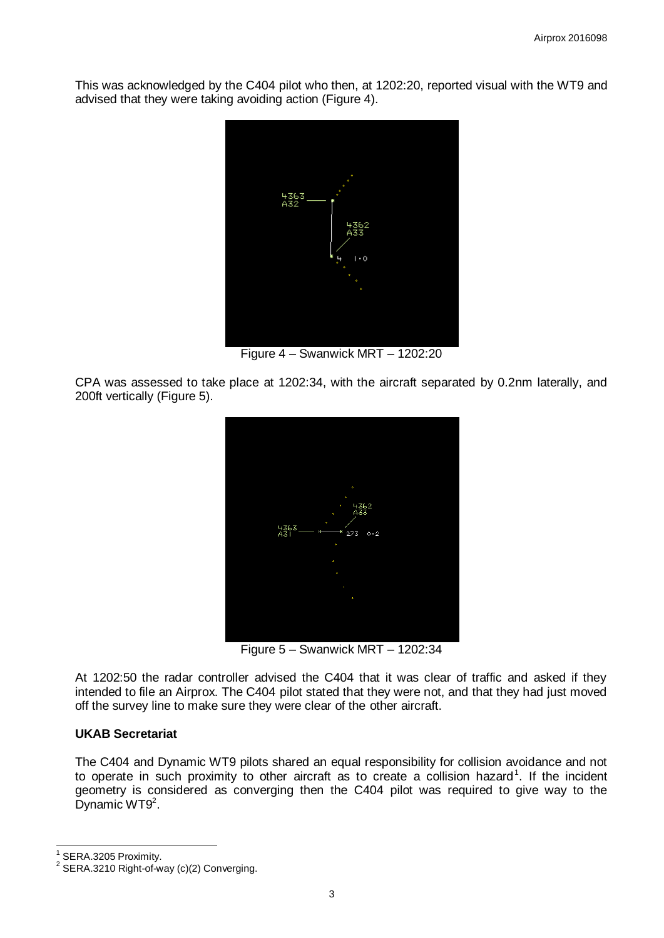This was acknowledged by the C404 pilot who then, at 1202:20, reported visual with the WT9 and advised that they were taking avoiding action (Figure 4).



Figure 4 – Swanwick MRT – 1202:20

CPA was assessed to take place at 1202:34, with the aircraft separated by 0.2nm laterally, and 200ft vertically (Figure 5).



Figure 5 – Swanwick MRT – 1202:34

At 1202:50 the radar controller advised the C404 that it was clear of traffic and asked if they intended to file an Airprox. The C404 pilot stated that they were not, and that they had just moved off the survey line to make sure they were clear of the other aircraft.

## **UKAB Secretariat**

The C404 and Dynamic WT9 pilots shared an equal responsibility for collision avoidance and not to operate in such proximity to other aircraft as to create a collision hazard<sup>1</sup>. If the incident geometry is considered as converging then the C404 pilot was required to give way to the Dynamic WT9<sup>2</sup>.

 $\overline{a}$ 1 SERA.3205 Proximity.

 $2$  SERA.3210 Right-of-way (c)(2) Converging.